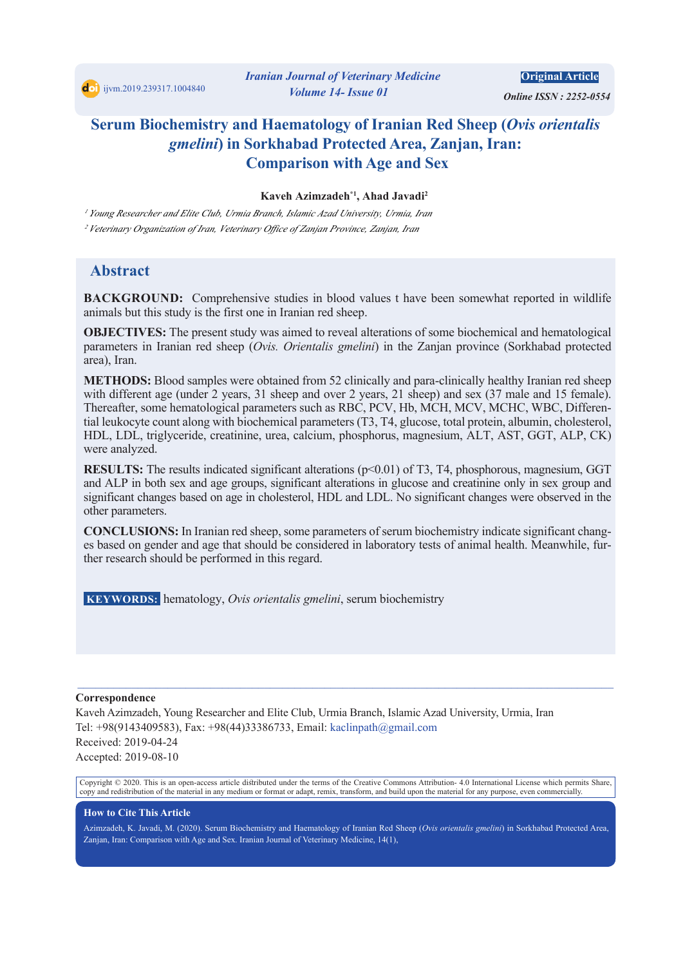

**Original Article** 

*<i> Online ISSN: 2252-0554* 

# **Serum Biochemistry and Haematology of Iranian Red Sheep (Ovis orientalis gmelini**) in Sorkhabad Protected Area, Zanjan, Iran: **Comparison with Age and Sex**

#### **Kaveh Azimzadeh<sup>\*1</sup>, Ahad Javadi<sup>2</sup>**

<sup>1</sup> Young Researcher and Elite Club, Urmia Branch, Islamic Azad University, Urmia, Iran <sup>2</sup> Veterinary Organization of Iran, Veterinary Office of Zanjan Province, Zanjan, Iran

# **Abstract**

**BACKGROUND:** Comprehensive studies in blood values t have been somewhat reported in wildlife animals but this study is the first one in Iranian red sheep.

**OBJECTIVES:** The present study was aimed to reveal alterations of some biochemical and hematological parameters in Iranian red sheep (Ovis. Orientalis gmelini) in the Zanjan province (Sorkhabad protected area), Iran.

**METHODS:** Blood samples were obtained from 52 clinically and para-clinically healthy Iranian red sheep with different age (under 2 years, 31 sheep and over 2 years, 21 sheep) and sex (37 male and 15 female). tial leukocyte count along with biochemical parameters (T3, T4, glucose, total protein, albumin, cholesterol, Thereafter, some hematological parameters such as RBC, PCV, Hb, MCH, MCV, MCHC, WBC, Differen-HDL, LDL, triglyceride, creatinine, urea, calcium, phosphorus, magnesium, ALT, AST, GGT, ALP, CK) were analyzed.

RESULTS: The results indicated significant alterations (p<0.01) of T3, T4, phosphorous, magnesium, GGT and ALP in both sex and age groups, significant alterations in glucose and creatinine only in sex group and significant changes based on age in cholesterol, HDL and LDL. No significant changes were observed in the other parameters.

es based on gender and age that should be considered in laboratory tests of animal health. Meanwhile, fur-<br>ther research should be performed in this regard. **CONCLUSIONS:** In Iranian red sheep, some parameters of serum biochemistry indicate significant changes based on gender and age that should be considered in laboratory tests of animal health. Meanwhile, fur-**CONCLUSIONS:** In Iranian red sheep, some parameters of serum biochemistry indicate significant chang-

**keywords**: hematology, *Ovis orientalis gmelini*, serum biochemistry

#### **Correspondence**

Kaveh Azimzadeh, Young Researcher and Elite Club, Urmia Branch, Islamic Azad University, Urmia, Iran Tel: +98(9143409583), Fax: +98(44)33386733, Email: kaclinpath  $@g$  mail.com Received: 2019-04-24 Accepted: 2019-08-10

Copyright © 2020. This is an open-access article distributed under the terms of the Creative Commons Attribution-4.0 International License which permits Share, copy and redistribution of the material in any medium or format or adapt, remix, transform, and build upon the material for any purpose, even commercially.

 $\_$  , and the state of the state of the state of the state of the state of the state of the state of the state of the state of the state of the state of the state of the state of the state of the state of the state of the

#### **How to Cite This Article**

Azimzadeh, K. Javadi, M. (2020). Serum Biochemistry and Haematology of Iranian Red Sheep (Ovis orientalis gmelini) in Sorkhabad Protected Area. Zanjan, Iran: Comparison with Age and Sex. Iranian Journal of Veterinary Medicine, 14(1),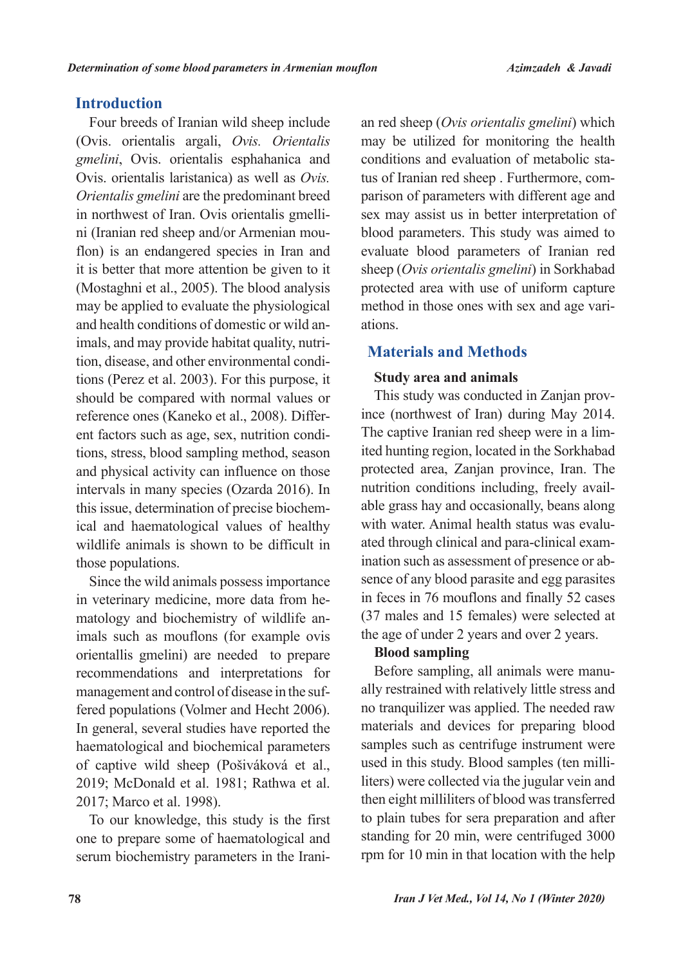# **Introduction**

Four breeds of Iranian wild sheep include *(Ovis. orientalis argali, Ovis. Orientalis* gmelini, Ovis. orientalis esphahanica and Ovis. orientalis laristanica) as well as Ovis. *Orientalis emelini* are the predominant breed flon) is an endangered species in Iran and ni (Iranian red sheep and/or Armenian mouin northwest of Iran. Ovis orientalis gmelliit is better that more attention be given to it (Mostaghni et al., 2005). The blood analysis may be applied to evaluate the physiological tions (Perez et al. 2003). For this purpose, it tion, disease, and other environmental condiimals, and may provide habitat quality, nutriand health conditions of domestic or wild anshould be compared with normal values or tions, stress, blood sampling method, season ent factors such as age, sex, nutrition condireference ones (Kaneko et al., 2008). Differand physical activity can influence on those intervals in many species (Ozarda 2016). In ical and haematological values of healthy this issue, determination of precise biochemwildlife animals is shown to be difficult in those populations.

Since the wild animals possess importance matology and biochemistry of wildlife an-<br>imals such as mouflons (for example ovis in veterinary medicine, more data from he-<br>matology and biochemistry of wildlife anin veterinary medicine, more data from heorientallis gmelini) are needed to prepare recommendations and interpretations for fered populations (Volmer and Hecht 2006). management and control of disease in the suf-In general, several studies have reported the haematological and biochemical parameters of captive wild sheep (Pošiváková et al., 2019; McDonald et al. 1981; Rathwa et al. 2017; Marco et al. 1998).

To our knowledge, this study is the first one to prepare some of haematological and serum biochemistry parameters in the Iranimay be utilized for monitoring the health parison of parameters with different age and tus of Iranian red sheep . Furthermore, comconditions and evaluation of metabolic stasex may assist us in better interpretation of blood parameters. This study was aimed to evaluate blood parameters of Iranian red sheep *(Ovis orientalis gmelini)* in Sorkhabad protected area with use of uniform capture method in those ones with sex and age variations.

# **Materials and Methods**

# **Study area and animals**

e an red sheep (*Ovis orientalis gmelini*) which<br>nay be utilized for monitoring the health<br>is conditions and evaluation of metabolic sta-<br>tus of Iranian red sheep . Furthermore, com-<br>parison of parameters with different ag ince (northwest of Iran) during May 2014. This study was conducted in Zanjan provited hunting region, located in the Sorkhabad The captive Iranian red sheep were in a limprotected area, Zanjan province, Iran. The able grass hay and occasionally, beans along nutrition conditions including, freely availsence of any blood parasite and egg parasites ination such as assessment of presence or abated through clinical and para-clinical examwith water. Animal health status was evaluin feces in 76 mouflons and finally 52 cases  $(37$  males and 15 females) were selected at the age of under 2 years and over 2 years.

# **sampling Blood**

ally restrained with relatively little stress and Before sampling, all animals were manuno tranquilizer was applied. The needed raw materials and devices for preparing blood samples such as centrifuge instrument were liters) were collected via the jugular vein and used in this study. Blood samples (ten millithen eight milliliters of blood was transferred to plain tubes for sera preparation and after standing for 20 min, were centrifuged 3000 rpm for 10 min in that location with the help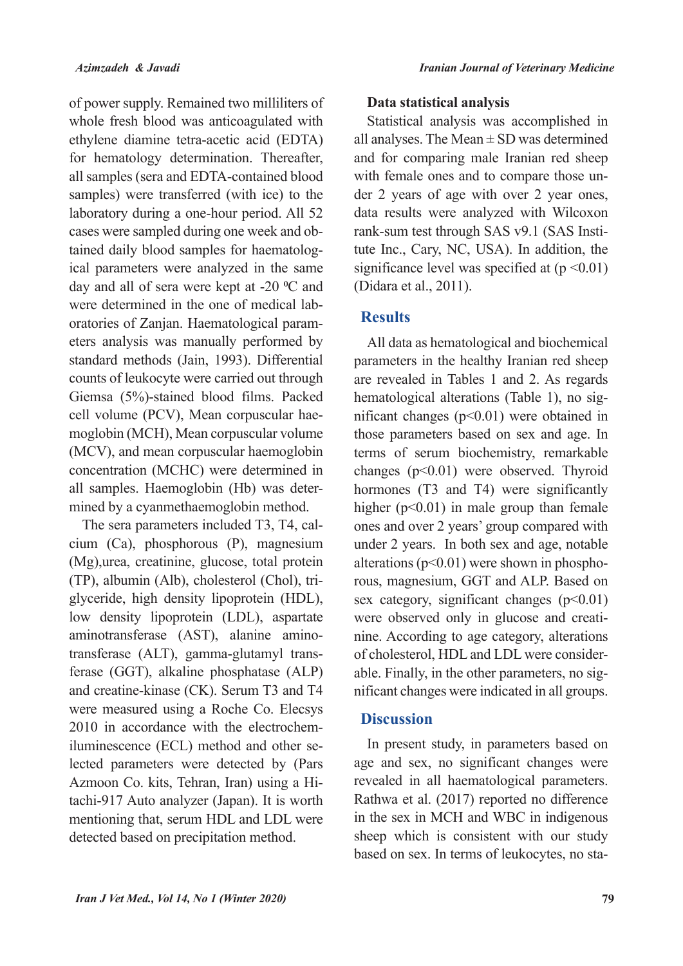of power supply. Remained two milliliters of whole fresh blood was anticoagulated with ethylene diamine tetra-acetic acid (EDTA) for hematology determination. Thereafter, all samples (sera and EDTA-contained blood samples) were transferred (with ice) to the laboratory during a one-hour period. All 52 ical parameters were analyzed in the same tained daily blood samples for haematologcases were sampled during one week and obday and all of sera were kept at -20 °C and eters analysis was manually performed by oratories of Zanjan. Haematological paramwere determined in the one of medical labstandard methods (Jain, 1993). Differential counts of leukocyte were carried out through Giemsa (5%)-stained blood films. Packed moglobin (MCH), Mean corpuscular volume cell volume (PCV), Mean corpuscular hae-(MCV), and mean corpuscular haemoglobin concentration (MCHC) were determined in mined by a cyanmethaemoglobin method. all samples. Haemoglobin (Hb) was deter-

 $cium$  (Ca), phosphorous (P), magnesium The sera parameters included T3, T4, cal- $(Mg)$ , urea, creatinine, glucose, total protein glyceride, high density lipoprotein (HDL), (TP), albumin (Alb), cholesterol (Chol), trilow density lipoprotein (LDL), aspartate ferase (GGT), alkaline phosphatase  $(ALP)$ transferase (ALT), gamma-glutamyl transamino transferase (AST), alanine aminoand creatine-kinase (CK). Serum T3 and T4 were measured using a Roche Co. Elecsys lected parameters were detected by (Pars iluminescence (ECL) method and other se-2010 in accordance with the electrochemtachi-917 Auto analyzer (Japan). It is worth Azmoon Co. kits, Tehran, Iran) using a Himentioning that, serum HDL and LDL were detected based on precipitation method.

### **Data statistical analysis**

Statistical analysis was accomplished in all analyses. The Mean  $\pm$  SD was determined and for comparing male Iranian red sheep der  $2$  years of age with over  $2$  year ones, with female ones and to compare those undata results were analyzed with Wilcoxon tute Inc., Cary, NC, USA). In addition, the rank-sum test through SAS v9.1 (SAS Instisignificance level was specified at  $(p \le 0.01)$  $(Didara et al., 2011).$ 

### **Results**

All data as hematological and biochemical parameters in the healthy Iranian red sheep are revealed in Tables 1 and 2. As regards nificant changes ( $p<0.01$ ) were obtained in hematological alterations (Table 1), no sigthose parameters based on sex and age. In terms of serum biochemistry, remarkable changes  $(p<0.01)$  were observed. Thyroid hormones (T3 and T4) were significantly higher  $(p<0.01)$  in male group than female ones and over 2 years' group compared with under 2 years. In both sex and age, notable rous, magnesium, GGT and ALP. Based on alterations ( $p<0.01$ ) were shown in phosphosex category, significant changes  $(p<0.01)$ nine. According to age category, alterations were observed only in glucose and creatinificant changes were indicated in all groups. able. Finally, in the other parameters, no sigof cholesterol, HDL and LDL were consider-

### **Discussion**

In present study, in parameters based on age and sex, no significant changes were revealed in all haematological parameters. Rathwa et al. (2017) reported no difference in the sex in MCH and WBC in indigenous sheep which is consistent with our study based on sex. In terms of leukocytes, no sta-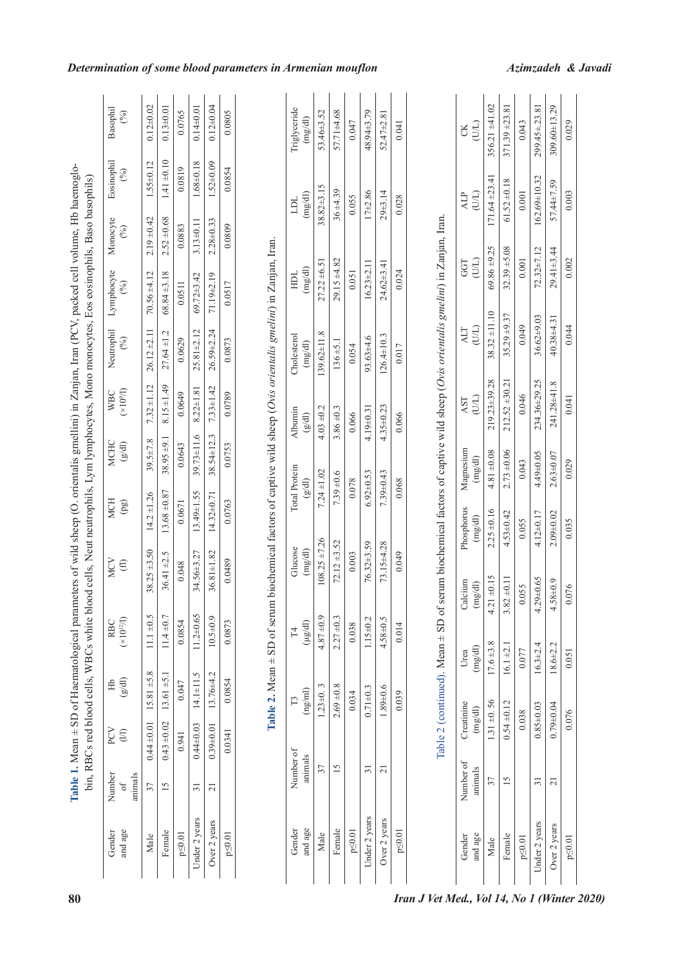|                   |                          |                     |                   | bin, RBCs red blood cells, WBCs white blood cells, Neut neutrophils, Lym lymphocytes, Mono monocytes, Eos eosinophils, Baso basophils) |                    |                  |                                       |                      |                             |                    |                                      |                    |
|-------------------|--------------------------|---------------------|-------------------|----------------------------------------------------------------------------------------------------------------------------------------|--------------------|------------------|---------------------------------------|----------------------|-----------------------------|--------------------|--------------------------------------|--------------------|
| Number<br>animals | PCV<br>$\textcircled{1}$ | $\frac{1}{2}$<br>ЭH | $(10^{12}$<br>RBC | <b>MCV</b><br>$\bigoplus$                                                                                                              | <b>MCH</b><br>(pg) | MCHC<br>(g/d)    | (10 <sup>9</sup> /I)<br><b>WBC</b>    | Neutrophil<br>$(\%)$ | Lymphocyte<br>$\mathcal{E}$ | Monocyte<br>$(\%)$ | Eosinophil<br>$\mathcal{E}$          | Basophil<br>$(\%)$ |
|                   | $0.44 \pm 0.01$          | $15.81 + 5.8$       | $11.1 \pm 0.5$    | $38.25 + 3.50$                                                                                                                         | $14.2 \pm 1.26$    | 39.5±7.8         | $7.32 \pm 1.12$                       | $26.12 \pm 2.11$     | $70.56 \pm 4.12$            | $2.19 \pm 0.42$    | $1.55 \pm 0.12$                      | $0.12 \pm 0.02$    |
|                   | $0.43 \pm 0.02$          | $13.61 + 5.1$       | $11.4 \pm 0.7$    | $36.41 + 2.5$                                                                                                                          | $13.68 \pm 0.87$   | $38.95 + 9.1$    | $8.15 \pm 1.49$                       | $27.64 \pm 1.2$      | $68.84 \pm 3.18$            | $2.52 \pm 0.68$    | $1.41 + 0.10$                        | $0.13 \pm 0.01$    |
|                   | 0.941                    | 0.047               | 0.0854            | 0.048                                                                                                                                  | 0.0671             | 0.0643           | 0.0649                                | 0.0629               | 0.0511                      | 0.0883             | 0.0819                               | 0.0765             |
|                   | $0.44 \pm 0.03$          | $14.1 \pm 11.5$     | $11.2 \pm 0.65$   | 34.56±3.27                                                                                                                             | 13.49±1.55         | $39.73 \pm 11.6$ | $8.22 \pm 1.81$                       | $25.81 \pm 2.12$     | 69.72±3.42                  | $3.13 \pm 0.11$    | 1.68±0.18                            | $0.14 \pm 0.01$    |
|                   | $0.39 + 0.01$            | 13.76±4.2           | $10.5 + 0.9$      | $36.81 \pm 1.82$                                                                                                                       | $14.32 \pm 0.71$   | 38.54±12.3       | $7.33 \pm 1.42$                       | $26.59 + 2.24$       | 71.19±2.19                  | $2.28 + 0.33$      | $1.52 \pm 0.09$                      | $0.12 \pm 0.04$    |
|                   | 0.0341                   | 0.0854              | 0.0873            | 0.0489                                                                                                                                 | 0.0763             | 0.0753           | 0.0789                                | 0.0873               | 0.0517                      | 0.0809             | 0.0854                               | 0.0805             |
|                   |                          |                     |                   | Table 2. Mean $\pm$ SD of serum biochemical factors of captive wild sheep (Ovis orientalis gmelini) in Zanjan, Iran.                   |                    |                  |                                       |                      |                             |                    |                                      |                    |
|                   | Number of                | F3                  | T4                | Glucose                                                                                                                                | Total Protein      |                  | Albumin                               | Cholesterol          | HDL                         |                    | TUT                                  | Triglyceride       |
| animals           |                          | (ng/ml)             | $(\mu g/dl)$      | (mg/dl)                                                                                                                                | $\frac{g(d)}{g}$   |                  | $\left( \mathbb{P}^{\otimes} \right)$ | (mg/dl)              | (mg/dl)                     |                    | $(\mathrm{mg}(\mathrm{d}\mathrm{l})$ | (mg/dl)            |
| 37                |                          | $1.23 \pm 0.3$      | $4.87 + 0.9$      | $108.25 \pm 7.26$                                                                                                                      | $7.24 \pm 1.02$    |                  | $4.03 + 0.2$                          | $139.62 \pm 11.8$    | $27.22 \pm 6.51$            |                    | $38.82 \pm 3.15$                     | 53.46±3.52         |
| 15                |                          | $2.69 + 0.8$        | $2.27 \pm 0.3$    | $72.12 + 3.52$                                                                                                                         | $7.39 + 0.6$       |                  | $3.86 \pm 0.3$                        | $136 + 5.1$          | $29.15 + 4.82$              |                    | $36 + 4.39$                          | 57.71±4.68         |
|                   |                          | 0.034               | 0.038             | 0.003                                                                                                                                  | 0.078              |                  | 0.066                                 | 0.054                | 0.051                       |                    | 0.055                                | 0.047              |
| $\overline{31}$   |                          | $0.71 + 0.3$        | $1.15 \pm 0.2$    | $76.32 + 3.59$                                                                                                                         | $6.92 \pm 0.53$    |                  | $4.19 \pm 0.31$                       | $93.63 + 4.6$        | $16.23 \pm 2.11$            |                    | $17 + 2.86$                          | 48.94±3.79         |
|                   |                          |                     |                   |                                                                                                                                        |                    |                  |                                       |                      |                             |                    |                                      |                    |

| ֠                        |
|--------------------------|
|                          |
| I                        |
|                          |
|                          |
| ١                        |
|                          |
|                          |
| $\overline{a}$           |
| I                        |
|                          |
|                          |
|                          |
|                          |
|                          |
|                          |
| $\overline{\phantom{a}}$ |
|                          |
|                          |
|                          |
| $\overline{a}$           |
| l                        |
|                          |
|                          |
|                          |
| ļ                        |
| ן<br>ג<br>۱              |
| ֚֘                       |
| í                        |
| I                        |
| io                       |

| Gender        | Number of |                | $F_4$          | Glucose                                         | <b>Total Protein</b>                | Albumin                             | Cholesterol      | $\begin{array}{c} \mathrm{HDL} \\ (\mathrm{mg/dl}) \end{array}$ | TUT           | Triglyceride                  |
|---------------|-----------|----------------|----------------|-------------------------------------------------|-------------------------------------|-------------------------------------|------------------|-----------------------------------------------------------------|---------------|-------------------------------|
| and age       | animals   | (ng/ml)        | $(\mu g/dl)$   | $\left(\mathrm{mg}/\mathrm{d}\mathrm{l}\right)$ | $(\mathrm{g}/\mathrm{d}\mathrm{l})$ | $(\mathrm{g}/\mathrm{d}\mathrm{l})$ | $({\rm mg/dl})$  |                                                                 | (mg/dl)       | $\left(\textrm{mg/dl}\right)$ |
| Male          |           | $1.23 \pm 0.3$ | $4.87 + 0.9$   | $108.25 \pm 7.26$                               | $7.24 \pm 1.02$                     | $4.03 + 0.2$                        | 139.62±11.8      | $27.22 \pm 6.51$                                                | 38.82±3.15    | 53.46±3.52                    |
| Female        |           | $2.69 = 0.8$   | $2.27 + 0.3$   | $72.12 + 3.52$                                  | $7.39 + 0.6$                        | $3.86 \pm 0.3$                      | $136 + 5.1$      | $29.15 + 4.82$                                                  | $36 + 4.39$   | 57.71±4.68                    |
| $p \le 0.01$  |           | 0.034          | 0.038          | 0.003                                           | 0.078                               | 0.066                               | 0.054            | 0.051                                                           | 0.055         | 0.047                         |
| Under 2 years |           | $0.71 \pm 0.3$ | $1.15 \pm 0.2$ | $76.32 + 3.59$                                  | $6.92 \pm 0.53$                     | 4.19±0.31                           | $93.63 + 4.6$    | $16.23 \pm 2.11$                                                | $17 = 2.86$   | 48.94±3.79                    |
| Over 2 years  |           | $1.89 + 0.6$   | 4.58±0.5       | $73.15 + 4.28$                                  | $7.39 + 0.43$                       | $4.35 \pm 0.23$                     | $126.4 \pm 10.3$ | $24.62 + 3.41$                                                  | $29 \pm 3.14$ | $52.47 \pm 2.81$              |
| $p \le 0.01$  |           | 0.039          | 0.014          | 0.049                                           | 0.068                               | 0.066                               | 0.017            | 0.024                                                           | 0.028         | 0.041                         |

|                   |                      |                       |                 |                    |                       |                      | Table 2 (continued). Mean $\pm$ SD of serum biochemical factors of captive wild sheep (Ovis orientalis gmelini) in Zanjan, Iran. |                   |                  |                    |                    |
|-------------------|----------------------|-----------------------|-----------------|--------------------|-----------------------|----------------------|----------------------------------------------------------------------------------------------------------------------------------|-------------------|------------------|--------------------|--------------------|
| and age<br>Gender | Number of<br>animals | Creatinine<br>(mg/dl) | (mg/dl)<br>Urea | Calcium<br>(mg/dl) | Phosphorus<br>(mg/dl) | Magnesium<br>(mg/dl) | (U/L)<br>AST                                                                                                                     | (III)<br>ALT      | (11)<br>GGT      | (III)<br>ALP       | (III)<br>g         |
| Male              |                      | $1.31 \pm 0.56$       | $17.6 + 3.8$    | $4.21 \pm 0.15$    | $2.25 \pm 0.16$       | $4.81 \pm 0.08$      | $219.23 + 39.28$                                                                                                                 | $38.32 \pm 11.10$ | $69.86 \pm 9.25$ | $171.64 \pm 23.41$ | $356.21 + 41.02$   |
| Female            |                      | $0.54 \pm 0.12$       | $16.1 \pm 2.1$  | $3.82 \pm 0.11$    | $4.53 \pm 0.42$       | $2.73 \pm 0.06$      | $212.52 + 30.21$                                                                                                                 | $35.29 + 9.37$    | $32.39 + 5.08$   | $61.52 \pm 0.18$   | $371.39 + 23.81$   |
| $p \le 0.01$      |                      | 0.038                 | 0.077           | 0.055              | 0.055                 | 0.043                | 0.046                                                                                                                            | 0.049             | 0.001            | 0.001              | 0.043              |
| Jnder 2 years     |                      | $0.85 \pm 0.03$       | $16.3 \pm 2.4$  | $4.29 \pm 0.65$    | $4.12 + 0.17$         | 4.49±0.05            | 234.36±29.25                                                                                                                     | $36.62\pm9.03$    | $72.32 \pm 7.12$ | 162.69±10.32       | $299.45 \pm 23.81$ |
| Over 2 years      |                      | $0.79 + 0.04$         | 18.6±2.2        | $4.58 \pm 0.9$     | $2.09 + 0.02$         | $2.63 + 0.07$        | 241.28±41.8                                                                                                                      | 40.38±4.31        | $29.41 \pm 3.44$ | 57.44±7.59         | 309.60±13.29       |

0.029

0.003

0.002

0.044

0.041

0.029

0.035

0.076

0.051

0.076

p≤0.01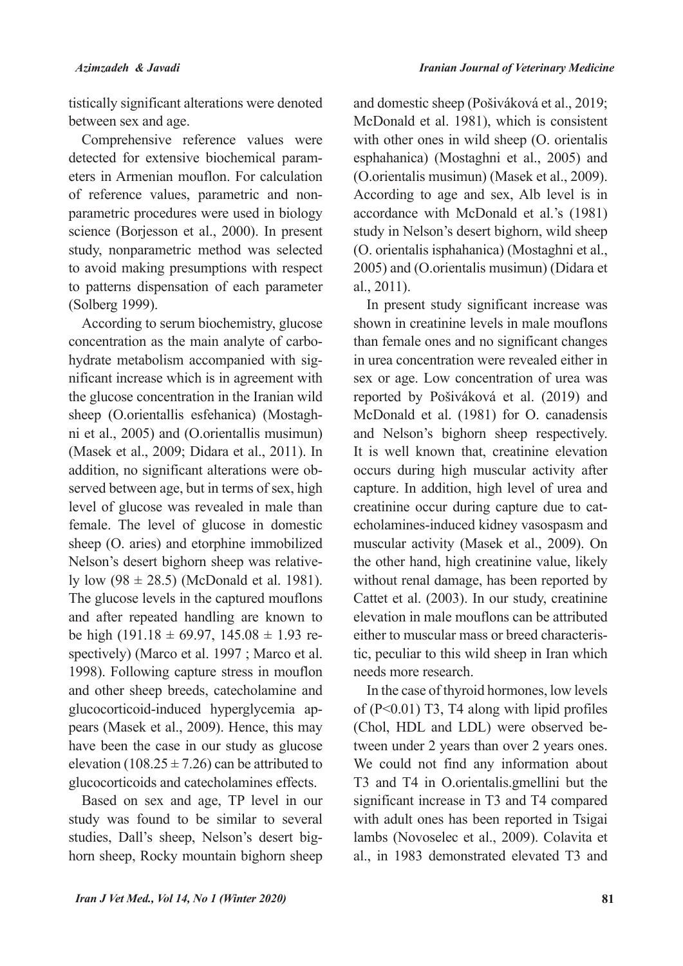tistically significant alterations were denoted between sex and age.

Comprehensive reference values were eters in Armenian mouflon. For calculation detected for extensive biochemical paramparametric procedures were used in biology of reference values, parametric and nonscience (Borjesson et al., 2000). In present study, nonparametric method was selected to avoid making presumptions with respect to patterns dispensation of each parameter (Solberg 1999).

According to serum biochemistry, glucose nificant increase which is in agreement with hydrate metabolism accompanied with sigconcentration as the main analyte of carbothe glucose concentration in the Iranian wild ni et al.,  $2005$  and (O orientallis musimun) sheep (O.orientallis esfehanica) (Mostagh-(Masek et al., 2009; Didara et al., 2011). In served between age, but in terms of sex, high addition, no significant alterations were oblevel of glucose was revealed in male than female. The level of glucose in domestic sheep (O. aries) and etorphine immobilized ly low  $(98 \pm 28.5)$  (McDonald et al. 1981). Nelson's desert bighorn sheep was relative-The glucose levels in the captured mouflons and after repeated handling are known to spectively) (Marco et al. 1997; Marco et al. be high  $(191.18 \pm 69.97, 145.08 \pm 1.93 \text{ re-}$ 1998). Following capture stress in mouflon and other sheep breeds, catecholamine and pears (Masek et al., 2009). Hence, this may glucocorticoid-induced hyperglycemia aphave been the case in our study as glucose elevation (108.25  $\pm$  7.26) can be attributed to glucocorticoids and catecholamines effects.

Based on sex and age, TP level in our study was found to be similar to several horn sheep, Rocky mountain bighorn sheep studies, Dall's sheep, Nelson's desert bigand domestic sheep (Pošiváková et al., 2019; McDonald et al. 1981), which is consistent with other ones in wild sheep (O. orientalis esphahanica) (Mostaghni et al., 2005) and (O.orientalis musimun) (Masek et al., 2009). According to age and sex, Alb level is in accordance with McDonald et al.'s (1981) study in Nelson's desert bighorn, wild sheep (O. orientalis isphahanica) (Mostaghni et al., 2005) and (O.orientalis musimun) (Didara et  $al., 2011$ .

In present study significant increase was shown in creatinine levels in male mouflons than female ones and no significant changes in urea concentration were revealed either in sex or age. Low concentration of urea was reported by Pošiváková et al. (2019) and McDonald et al. (1981) for O. canadensis and Nelson's bighorn sheep respectively. It is well known that, creatinine elevation occurs during high muscular activity after capture. In addition, high level of urea and echolamines-induced kidney vasospasm and creatinine occur during capture due to catmuscular activity (Masek et al., 2009). On the other hand, high creatinine value, likely without renal damage, has been reported by Cattet et al. (2003). In our study, creatinine elevation in male mouflons can be attributed tic, peculiar to this wild sheep in Iran which either to muscular mass or breed characterisneeds more research.

In the case of thyroid hormones, low levels of  $(P<0.01)$  T3, T4 along with lipid profiles tween under 2 years than over 2 years ones. (Chol, HDL and LDL) were observed be-We could not find any information about T3 and T4 in O.orientalis.gmellini but the significant increase in T3 and T4 compared with adult ones has been reported in Tsigai lambs (Novoselec et al., 2009). Colavita et al., in 1983 demonstrated elevated T3 and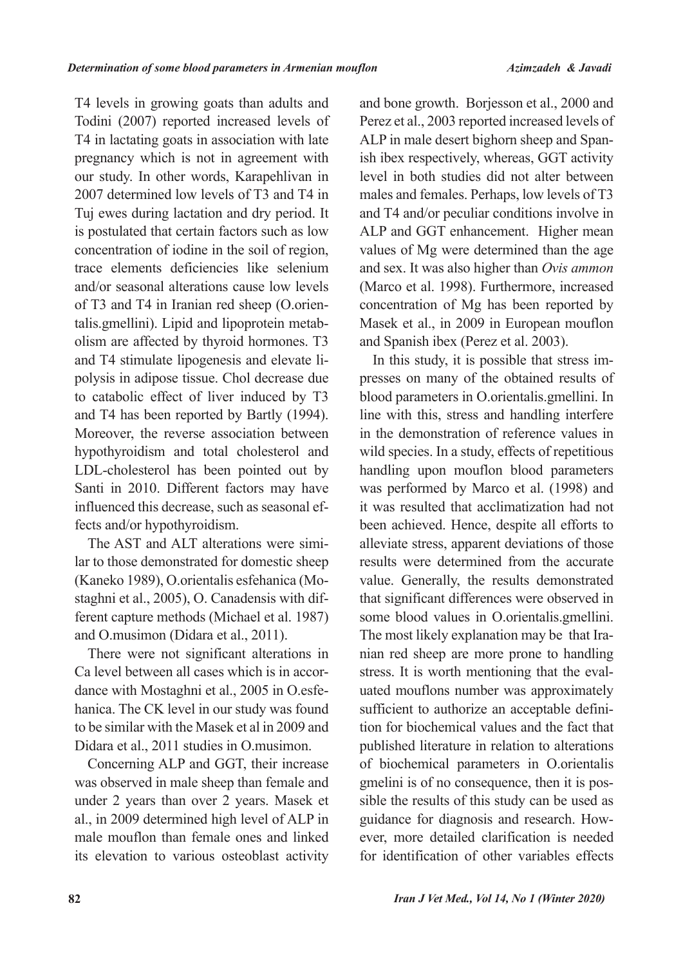T4 levels in growing goats than adults and Todini (2007) reported increased levels of T4 in lactating goats in association with late pregnancy which is not in agreement with our study. In other words, Karapehlivan in 2007 determined low levels of T3 and T4 in Tuj ewes during lactation and dry period. It is postulated that certain factors such as low concentration of iodine in the soil of region, trace elements deficiencies like selenium and/or seasonal alterations cause low levels olism are affected by thyroid hormones. T3 talis.gmellini). Lipid and lipoprotein metabof T3 and T4 in Iranian red sheep (O.orienpolysis in adipose tissue. Chol decrease due and T4 stimulate lipogenesis and elevate lito catabolic effect of liver induced by T3 and T4 has been reported by Bartly (1994). Moreover, the reverse association between hypothyroidism and total cholesterol and LDL-cholesterol has been pointed out by Santi in 2010. Different factors may have influenced this decrease, such as seasonal effects and/or hypothyroidism.

lar to those demonstrated for domestic sheep The AST and ALT alterations were simiferent capture methods (Michael et al. 1987). staghni et al., 2005), O. Canadensis with dif-(Kaneko 1989), O.orientalis esfehanica (Moand O.musimon (Didara et al., 2011).

There were not significant alterations in hanica. The CK level in our study was found dance with Mostaghni et al., 2005 in O.esfe-Ca level between all cases which is in accorto be similar with the Masek et al in 2009 and Didara et al., 2011 studies in O.musimon.

Concerning ALP and GGT, their increase was observed in male sheep than female and under 2 years than over 2 years. Masek et al., in 2009 determined high level of ALP in male mouflon than female ones and linked its elevation to various osteoblast activity

and bone growth. Borjesson et al., 2000 and Perez et al., 2003 reported increased levels of ish ibex respectively, whereas, GGT activity ALP in male desert bighorn sheep and Spanlevel in both studies did not alter between males and females. Perhaps, low levels of T3 and T4 and/or peculiar conditions involve in ALP and GGT enhancement. Higher mean values of Mg were determined than the age and sex. It was also higher than Ovis ammon (Marco et al. 1998). Furthermore, increased concentration of Mg has been reported by Masek et al., in 2009 in European mouflon and Spanish ibex (Perez et al. 2003).

presses on many of the obtained results of In this study, it is possible that stress imblood parameters in O.orientalis.gmellini. In line with this, stress and handling interfere in the demonstration of reference values in wild species. In a study, effects of repetitious handling upon mouflon blood parameters was performed by Marco et al. (1998) and it was resulted that acclimatization had not been achieved. Hence, despite all efforts to alleviate stress, apparent deviations of those results were determined from the accurate value. Generally, the results demonstrated that significant differences were observed in some blood values in O.orientalis.gmellini. handling handling to prone to handling The most likely explanation may be that Irauated mouflons number was approximately stress. It is worth mentioning that the evaltion for biochemical values and the fact that sufficient to authorize an acceptable definipublished literature in relation to alterations of biochemical parameters in O.orientalis sible the results of this study can be used as gmelini is of no consequence, then it is posguidance for diagnosis and research. How-<br>ever, more detailed clarification is needed for identification of other variables effects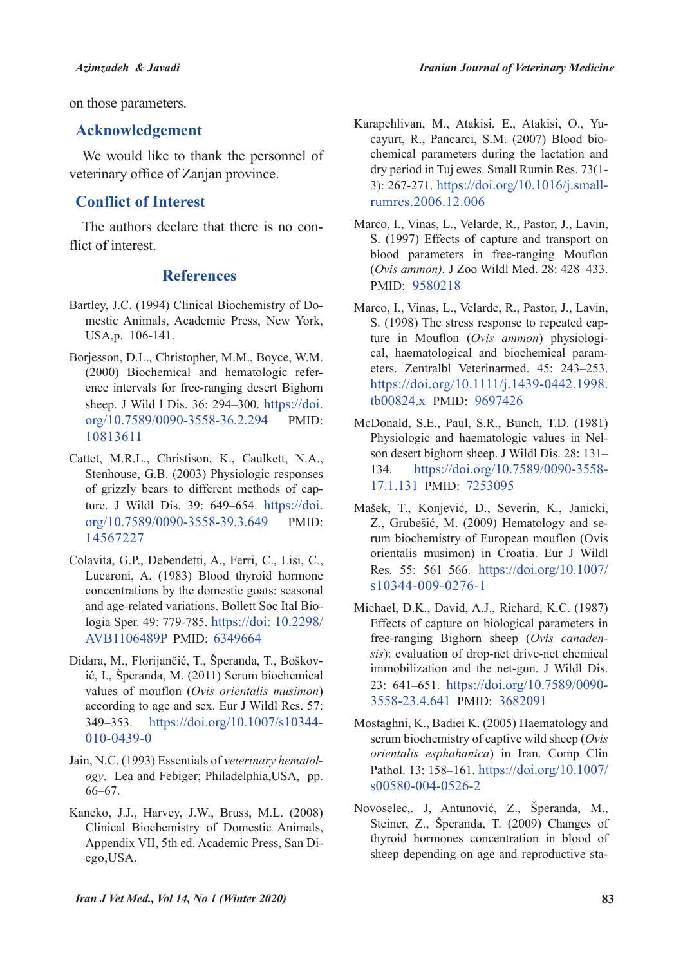on those parameters.

### **Acknowledgement**

We would like to thank the personnel of veterinary office of Zanjan province.

## **Conflict of Interest**

The authors declare that there is no con-<br>flict of interest.

### **References**

- mestic Animals, Academic Press, New York, Bartley, J.C. (1994) Clinical Biochemistry of Do-USA, p. 106-141.
- Borjesson, D.L., Christopher, M.M., Boyce, W.M. ence intervals for free-ranging desert Bighorn  $(2000)$  Biochemical and hematologic refersheep. J Wild 1 Dis. 36: 294-300. https://doi. org/10.7589/0090-3558-36.2.294 PMID: 10813611
- Cattet, M.R.L., Christison, K., Caulkett, N.A., Stenhouse, G.B. (2003) Physiologic responses ture. J Wildl Dis. 39:  $649-654$ . https://doi. of grizzly bears to different methods of caporg/10.7589/0090-3558-39.3.649 PMID: 14567227
- Colavita, G.P., Debendetti, A., Ferri, C., Lisi, C., Lucaroni, A. (1983) Blood thyroid hormone concentrations by the domestic goats: seasonal logia Sper, 49: 779-785. https://doi: 10.2298/ and age-related variations. Bollett Soc Ital Bio-AVB1106489P PMID: 6349664
- ić, I., Šperanda, M. (2011) Serum biochemical Didara, M., Florijančić, T., Šperanda, T., Boškovvalues of mouflon (Ovis orientalis musimon) according to age and sex. Eur J Wildl Res. 57: 349–353. https://doi.org/10.1007/s10344-010-0439-0
- ogy. Lea and Febiger; Philadelphia, USA, pp. Jain, N.C. (1993) Essentials of veterinary hematol- $66 - 67$
- Kaneko, J.J., Harvey, J.W., Bruss, M.L. (2008) Clinical Biochemistry of Domestic Animals, Appendix VII, 5th ed. Academic Press, San Di-<br>ego,USA.
- chemical parameters during the lactation and cayurt, R., Pancarci, S.M. (2007) Blood bio-Karapehlivan, M., Atakisi, E., Atakisi, O., Yudry period in Tuj ewes. Small Rumin Res. 73(1-3): 267-271. https://doi.org/10.1016/j.small-<br>rumres.2006.12.006
- Marco, I., Vinas, L., Velarde, R., Pastor, J., Lavin, S. (1997) Effects of capture and transport on blood parameters in free-ranging Mouflon (Ovis ammon). J Zoo Wildl Med. 28: 428-433. PMID: 9580218
- Marco, I., Vinas, L., Velarde, R., Pastor, J., Lavin, eters. Zentralbl Veterinarmed. 45: 243-253. cal, haematological and biochemical paramture in Mouflon (Ovis ammon) physiologi-S. (1998) The stress response to repeated caphttps://doi.org/10.1111/j.1439-0442.1998.  $tb00824.x$  PMID:  $9697426$
- McDonald, S.E., Paul, S.R., Bunch, T.D. (1981). son desert bighorn sheep. J Wildl Dis. 28: 131-Physiologic and haematologic values in Nel-134. https://doi.org/10.7589/0090-3558-17.1.131 PMID: 7253095
- Mašek, T., Konjević, D., Severin, K., Janicki, rum biochemistry of European mouflon (Ovis Z., Grubešić, M. (2009) Hematology and seorientalis musimon) in Croatia. Eur J Wildl Res. 55: 561–566. https://doi.org/10.1007/  $s10344-009-0276-1$
- Michael, D.K., David, A.J., Richard, K.C. (1987). Effects of capture on biological parameters in sis): evaluation of drop-net drive-net chemical *free-ranging Bighorn sheep (Ovis canaden*immobilization and the net-gun. J Wildl Dis. 23: 641–651. https://doi.org/10.7589/0090-3558-23.4.641 PMID: 3682091
- Mostaghni, K., Badiei K. (2005) Haematology and serum biochemistry of captive wild sheep (Ovis orientalis esphahanica) in Iran. Comp Clin Pathol. 13: 158-161. https://doi.org/10.1007/  $s00580-004-0526-2$
- Novoselec, J, Antunović, Z., Šperanda, M., Steiner, Z., Šperanda, T. (2009) Changes of thyroid hormones concentration in blood of sheep depending on age and reproductive sta-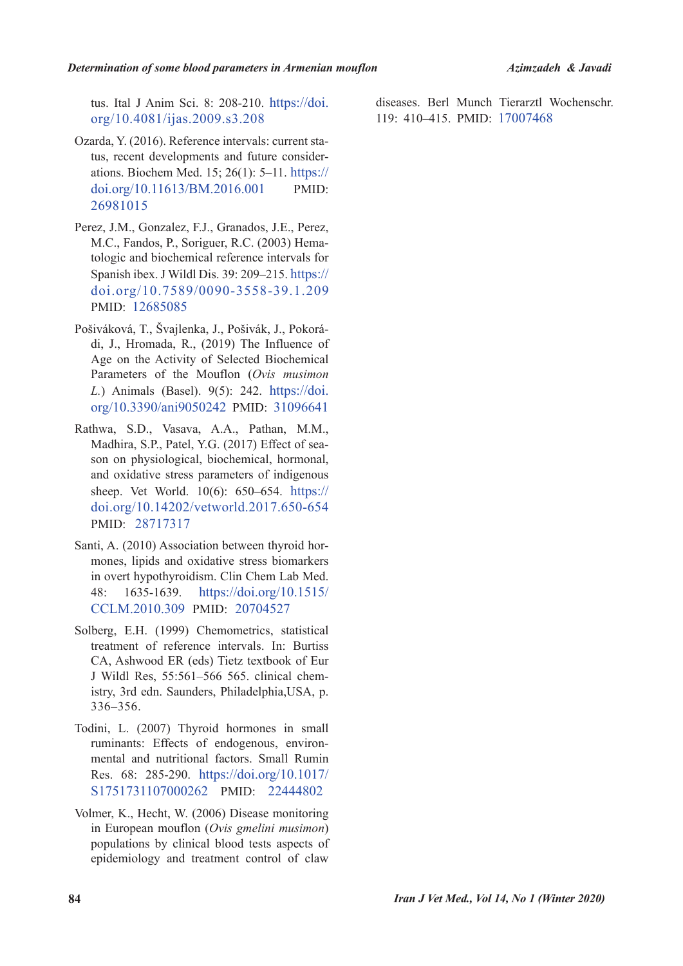tus. Ital J Anim Sci. 8: 208-210. https://doi.  $org/10.4081/ijas.2009.s3.208$ 

- ations. Biochem Med. 15; 26(1):  $5-11$ . https:// tus, recent developments and future consider-Ozarda, Y. (2016). Reference intervals: current stadoi.org/10.11613/BM.2016.001 PMID: 26981015
- Perez, J.M., Gonzalez, F.J., Granados, J.E., Perez. tologic and biochemical reference intervals for M.C., Fandos, P., Soriguer, R.C. (2003) Hema-Spanish ibex. J Wildl Dis. 39: 209–215. https:// doi.org/10.7589/0090-3558-39.1.209 PMID: 12685085
- di, J., Hromada, R., (2019) The Influence of Pošiváková, T., Švajlenka, J., Pošivák, J., Pokorá-Age on the Activity of Selected Biochemical Parameters of the Mouflon (Ovis musimon *L.*) Animals (Basel). 9(5): 242. https://doi. org/10.3390/ani9050242 PMID: 31096641
- Rathwa, S.D., Vasava, A.A., Pathan, M.M., son on physiological, biochemical, hormonal, Madhira, S.P., Patel, Y.G. (2017) Effect of seaand oxidative stress parameters of indigenous sheep. Vet World. 10(6): 650-654. https:// doi.org/10.14202/vetworld.2017.650-654 PMID: 28717317
- mones, lipids and oxidative stress biomarkers Santi, A. (2010) Association between thyroid horin overt hypothyroidism. Clin Chem Lab Med. 48: 1635-1639. https://doi.org/10.1515/ CCLM.2010.309 PMID: 20704527
- Solberg, E.H. (1999) Chemometrics, statistical treatment of reference intervals. In: Burtiss CA, Ashwood ER (eds) Tietz textbook of Eur istry, 3rd edn. Saunders, Philadelphia, USA, p. J Wildl Res,  $55:561-566$  565. clinical chem-356.–336
- Todini, L. (2007) Thyroid hormones in small mental and nutritional factors. Small Rumin ruminants: Effects of endogenous, environ-Res. 68: 285-290. https://doi.org/10.1017/ S1751731107000262 PMID: 22444802
- Volmer, K., Hecht, W. (2006) Disease monitoring in European mouflon (Ovis gmelini musimon) populations by clinical blood tests aspects of epidemiology and treatment control of claw

diseases. Berl Munch Tierarztl Wochenschr. 119: 410-415. PMID: 17007468